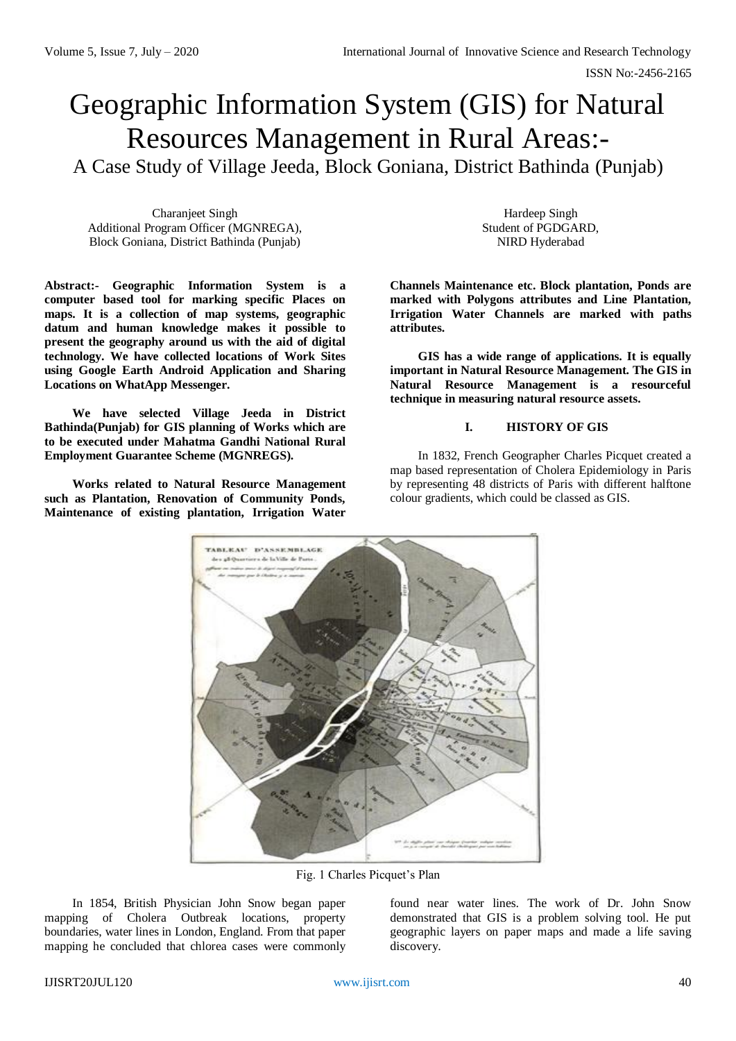# Geographic Information System (GIS) for Natural Resources Management in Rural Areas:- A Case Study of Village Jeeda, Block Goniana, District Bathinda (Punjab)

Charanjeet Singh Additional Program Officer (MGNREGA), Block Goniana, District Bathinda (Punjab)

**Abstract:- Geographic Information System is a computer based tool for marking specific Places on maps. It is a collection of map systems, geographic datum and human knowledge makes it possible to present the geography around us with the aid of digital technology. We have collected locations of Work Sites using Google Earth Android Application and Sharing Locations on WhatApp Messenger.** 

**We have selected Village Jeeda in District Bathinda(Punjab) for GIS planning of Works which are to be executed under Mahatma Gandhi National Rural Employment Guarantee Scheme (MGNREGS).**

**Works related to Natural Resource Management such as Plantation, Renovation of Community Ponds, Maintenance of existing plantation, Irrigation Water** 

Hardeep Singh Student of PGDGARD, NIRD Hyderabad

**Channels Maintenance etc. Block plantation, Ponds are marked with Polygons attributes and Line Plantation, Irrigation Water Channels are marked with paths attributes.**

**GIS has a wide range of applications. It is equally important in Natural Resource Management. The GIS in Natural Resource Management is a resourceful technique in measuring natural resource assets.**

## **I. HISTORY OF GIS**

In 1832, French Geographer Charles Picquet created a map based representation of Cholera Epidemiology in Paris by representing 48 districts of Paris with different halftone colour gradients, which could be classed as GIS.



Fig. 1 Charles Picquet's Plan

In 1854, British Physician John Snow began paper mapping of Cholera Outbreak locations, property boundaries, water lines in London, England. From that paper mapping he concluded that chlorea cases were commonly found near water lines. The work of Dr. John Snow demonstrated that GIS is a problem solving tool. He put geographic layers on paper maps and made a life saving discovery.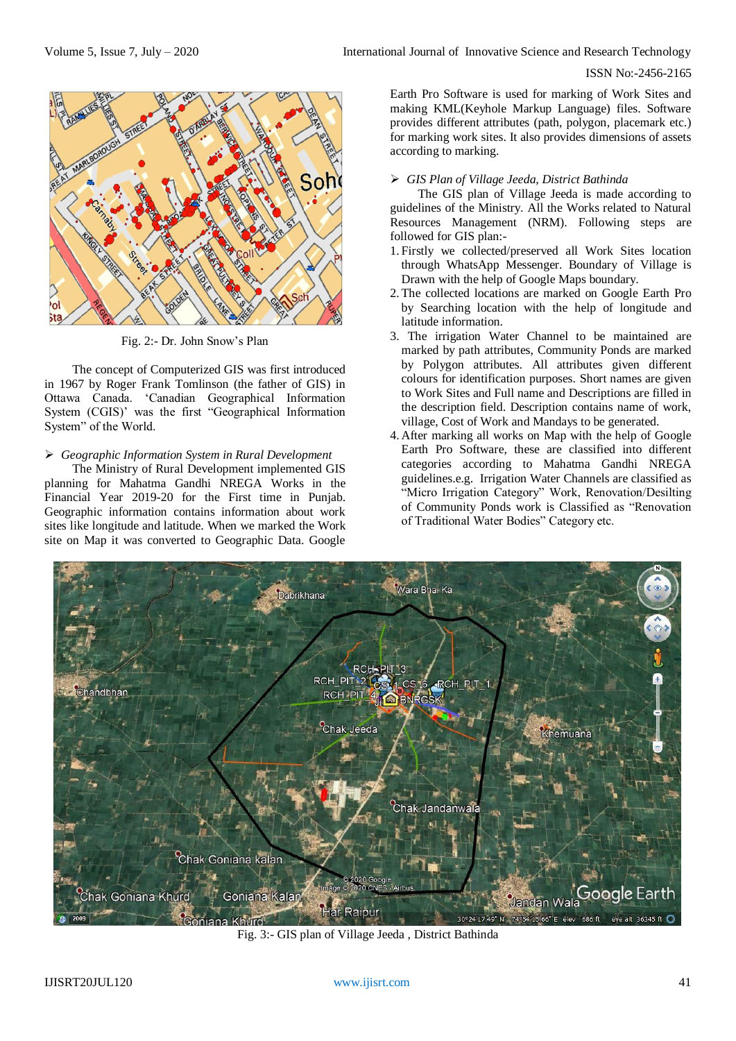ISSN No:-2456-2165



Fig. 2:- Dr. John Snow's Plan

The concept of Computerized GIS was first introduced in 1967 by Roger Frank Tomlinson (the father of GIS) in Ottawa Canada. 'Canadian Geographical Information System (CGIS)' was the first "Geographical Information System" of the World.

### *Geographic Information System in Rural Development*

The Ministry of Rural Development implemented GIS planning for Mahatma Gandhi NREGA Works in the Financial Year 2019-20 for the First time in Punjab. Geographic information contains information about work sites like longitude and latitude. When we marked the Work site on Map it was converted to Geographic Data. Google

Earth Pro Software is used for marking of Work Sites and making KML(Keyhole Markup Language) files. Software provides different attributes (path, polygon, placemark etc.) for marking work sites. It also provides dimensions of assets according to marking.

#### *GIS Plan of Village Jeeda, District Bathinda*

The GIS plan of Village Jeeda is made according to guidelines of the Ministry. All the Works related to Natural Resources Management (NRM). Following steps are followed for GIS plan:-

- 1. Firstly we collected/preserved all Work Sites location through WhatsApp Messenger. Boundary of Village is Drawn with the help of Google Maps boundary.
- 2. The collected locations are marked on Google Earth Pro by Searching location with the help of longitude and latitude information.
- 3. The irrigation Water Channel to be maintained are marked by path attributes, Community Ponds are marked by Polygon attributes. All attributes given different colours for identification purposes. Short names are given to Work Sites and Full name and Descriptions are filled in the description field. Description contains name of work, village, Cost of Work and Mandays to be generated.
- 4. After marking all works on Map with the help of Google Earth Pro Software, these are classified into different categories according to Mahatma Gandhi NREGA guidelines.e.g. Irrigation Water Channels are classified as "Micro Irrigation Category" Work, Renovation/Desilting of Community Ponds work is Classified as "Renovation of Traditional Water Bodies" Category etc.



Fig. 3:- GIS plan of Village Jeeda , District Bathinda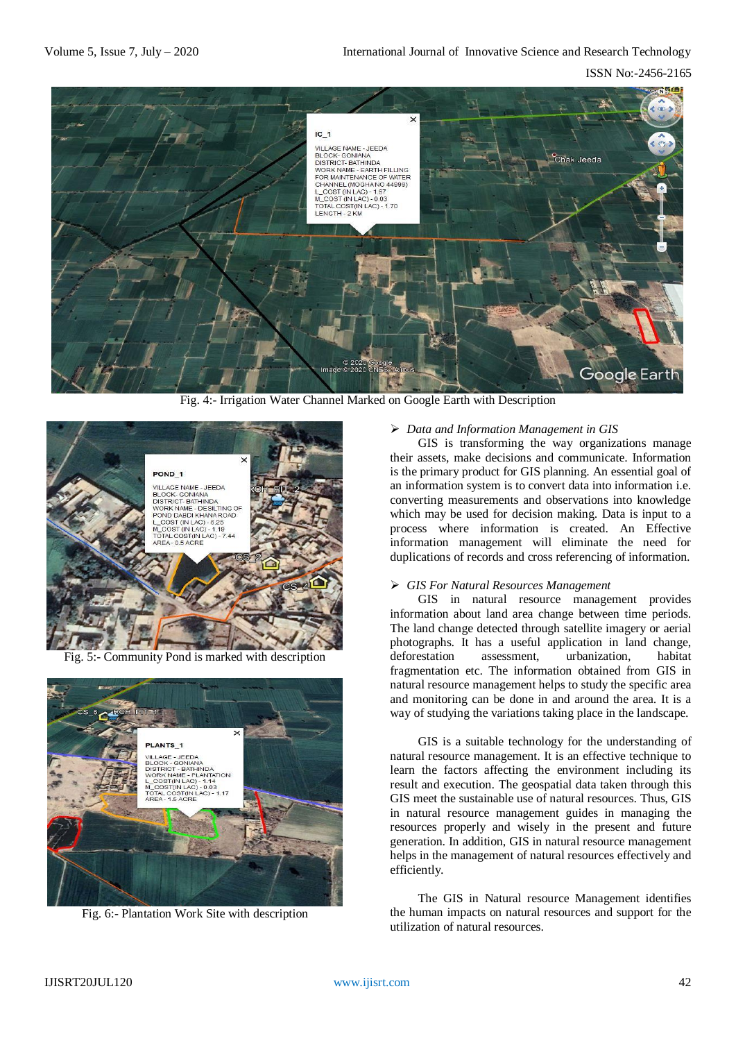ISSN No:-2456-2165



Fig. 4:- Irrigation Water Channel Marked on Google Earth with Description



Fig. 5:- Community Pond is marked with description



Fig. 6:- Plantation Work Site with description

## *Data and Information Management in GIS*

GIS is transforming the way organizations manage their assets, make decisions and communicate. Information is the primary product for GIS planning. An essential goal of an information system is to convert data into information i.e. converting measurements and observations into knowledge which may be used for decision making. Data is input to a process where information is created. An Effective information management will eliminate the need for duplications of records and cross referencing of information.

## *GIS For Natural Resources Management*

GIS i[n](https://www.ifw-kiel.de/institute/research-centers/the-environment-and-natural-resources/) [natural resource](https://www.ifw-kiel.de/institute/research-centers/the-environment-and-natural-resources/) management provides information about land area change between time periods. The land change detected through satellite imagery or aerial photographs. It has a useful application in land change, deforestation assessment, urbanization, habitat fragmentation etc. The information obtained from GIS in natural resource management helps to study the specific area and monitoring can be done in and around the area. It is a way of studying the variations taking place in the landscape.

GIS is a suitable technology for the understanding of natural resource management. It is an effective technique to learn the factors affecting the environment including its result and execution. The geospatial data taken through this GIS meet the sustainable use of natural resources. Thus, GIS in natural resource management guides in managing the resources properly and wisely in the present and future generation. In addition, GIS in natural resource management helps in the management of natural resources effectively and efficiently.

The GIS in Natural resource Management identifies the human impacts on natural resources and support for the utilization of natural resources.